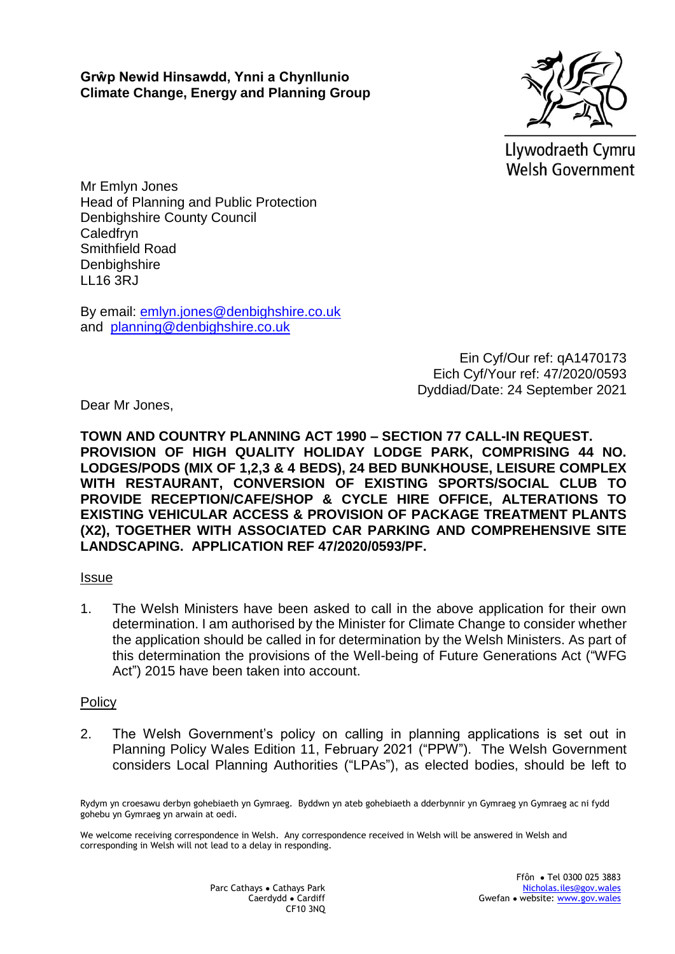

Llywodraeth Cymru **Welsh Government** 

Mr Emlyn Jones Head of Planning and Public Protection Denbighshire County Council Caledfryn Smithfield Road **Denbighshire** LL16 3RJ

By email: [emlyn.jones@denbighshire.co.uk](mailto:emlyn.jones@denbighshire.co.uk) and [planning@denbighshire.co.uk](mailto:planning@denbighshire.co.uk) 

> Ein Cyf/Our ref: qA1470173 Eich Cyf/Your ref: 47/2020/0593 Dyddiad/Date: 24 September 2021

Dear Mr Jones,

**TOWN AND COUNTRY PLANNING ACT 1990 – SECTION 77 CALL-IN REQUEST. PROVISION OF HIGH QUALITY HOLIDAY LODGE PARK, COMPRISING 44 NO. LODGES/PODS (MIX OF 1,2,3 & 4 BEDS), 24 BED BUNKHOUSE, LEISURE COMPLEX WITH RESTAURANT, CONVERSION OF EXISTING SPORTS/SOCIAL CLUB TO PROVIDE RECEPTION/CAFE/SHOP & CYCLE HIRE OFFICE, ALTERATIONS TO EXISTING VEHICULAR ACCESS & PROVISION OF PACKAGE TREATMENT PLANTS (X2), TOGETHER WITH ASSOCIATED CAR PARKING AND COMPREHENSIVE SITE LANDSCAPING. APPLICATION REF 47/2020/0593/PF.**

## **Issue**

1. The Welsh Ministers have been asked to call in the above application for their own determination. I am authorised by the Minister for Climate Change to consider whether the application should be called in for determination by the Welsh Ministers. As part of this determination the provisions of the Well-being of Future Generations Act ("WFG Act") 2015 have been taken into account.

## Policy

2. The Welsh Government's policy on calling in planning applications is set out in Planning Policy Wales Edition 11, February 2021 ("PPW"). The Welsh Government considers Local Planning Authorities ("LPAs"), as elected bodies, should be left to

Rydym yn croesawu derbyn gohebiaeth yn Gymraeg. Byddwn yn ateb gohebiaeth a dderbynnir yn Gymraeg yn Gymraeg ac ni fydd gohebu yn Gymraeg yn arwain at oedi.

We welcome receiving correspondence in Welsh. Any correspondence received in Welsh will be answered in Welsh and corresponding in Welsh will not lead to a delay in responding.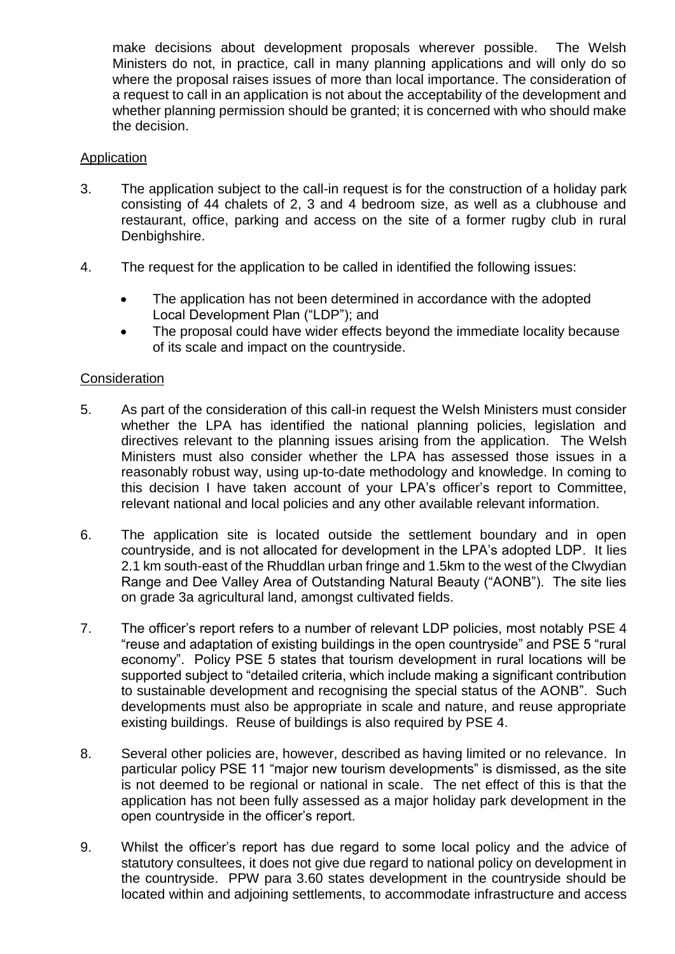make decisions about development proposals wherever possible. The Welsh Ministers do not, in practice, call in many planning applications and will only do so where the proposal raises issues of more than local importance. The consideration of a request to call in an application is not about the acceptability of the development and whether planning permission should be granted; it is concerned with who should make the decision.

# Application

- 3. The application subject to the call-in request is for the construction of a holiday park consisting of 44 chalets of 2, 3 and 4 bedroom size, as well as a clubhouse and restaurant, office, parking and access on the site of a former rugby club in rural Denbighshire.
- 4. The request for the application to be called in identified the following issues:
	- The application has not been determined in accordance with the adopted Local Development Plan ("LDP"); and
	- The proposal could have wider effects beyond the immediate locality because of its scale and impact on the countryside.

## **Consideration**

- 5. As part of the consideration of this call-in request the Welsh Ministers must consider whether the LPA has identified the national planning policies, legislation and directives relevant to the planning issues arising from the application. The Welsh Ministers must also consider whether the LPA has assessed those issues in a reasonably robust way, using up-to-date methodology and knowledge. In coming to this decision I have taken account of your LPA's officer's report to Committee, relevant national and local policies and any other available relevant information.
- 6. The application site is located outside the settlement boundary and in open countryside, and is not allocated for development in the LPA's adopted LDP. It lies 2.1 km south-east of the Rhuddlan urban fringe and 1.5km to the west of the Clwydian Range and Dee Valley Area of Outstanding Natural Beauty ("AONB"). The site lies on grade 3a agricultural land, amongst cultivated fields.
- 7. The officer's report refers to a number of relevant LDP policies, most notably PSE 4 "reuse and adaptation of existing buildings in the open countryside" and PSE 5 "rural economy". Policy PSE 5 states that tourism development in rural locations will be supported subject to "detailed criteria, which include making a significant contribution to sustainable development and recognising the special status of the AONB". Such developments must also be appropriate in scale and nature, and reuse appropriate existing buildings. Reuse of buildings is also required by PSE 4.
- 8. Several other policies are, however, described as having limited or no relevance. In particular policy PSE 11 "major new tourism developments" is dismissed, as the site is not deemed to be regional or national in scale. The net effect of this is that the application has not been fully assessed as a major holiday park development in the open countryside in the officer's report.
- 9. Whilst the officer's report has due regard to some local policy and the advice of statutory consultees, it does not give due regard to national policy on development in the countryside. PPW para 3.60 states development in the countryside should be located within and adjoining settlements, to accommodate infrastructure and access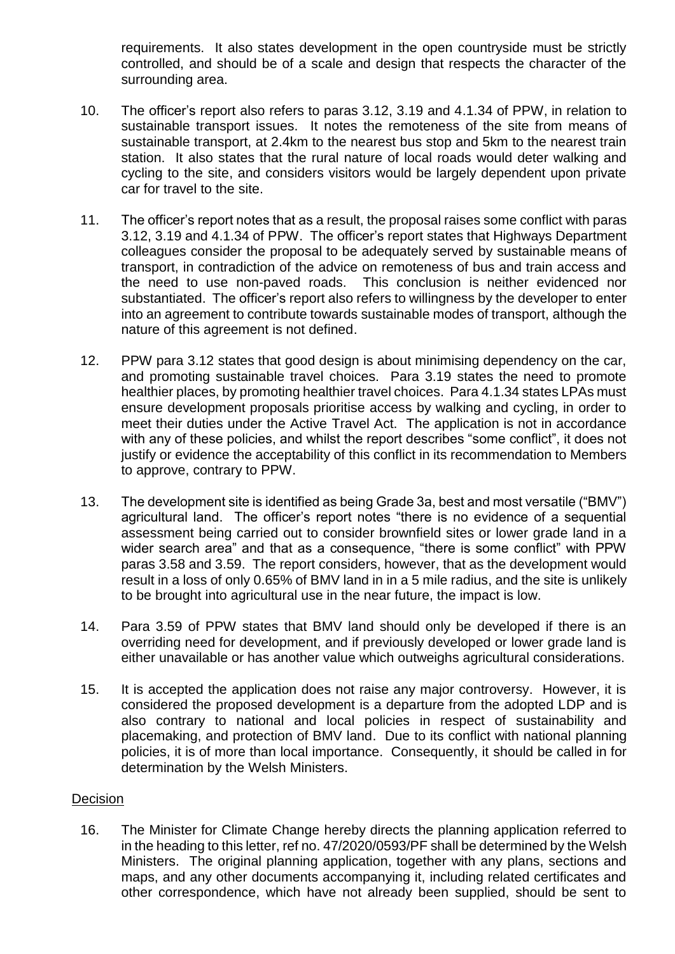requirements. It also states development in the open countryside must be strictly controlled, and should be of a scale and design that respects the character of the surrounding area.

- 10. The officer's report also refers to paras 3.12, 3.19 and 4.1.34 of PPW, in relation to sustainable transport issues. It notes the remoteness of the site from means of sustainable transport, at 2.4km to the nearest bus stop and 5km to the nearest train station. It also states that the rural nature of local roads would deter walking and cycling to the site, and considers visitors would be largely dependent upon private car for travel to the site.
- 11. The officer's report notes that as a result, the proposal raises some conflict with paras 3.12, 3.19 and 4.1.34 of PPW. The officer's report states that Highways Department colleagues consider the proposal to be adequately served by sustainable means of transport, in contradiction of the advice on remoteness of bus and train access and the need to use non-paved roads. This conclusion is neither evidenced nor substantiated. The officer's report also refers to willingness by the developer to enter into an agreement to contribute towards sustainable modes of transport, although the nature of this agreement is not defined.
- 12. PPW para 3.12 states that good design is about minimising dependency on the car, and promoting sustainable travel choices. Para 3.19 states the need to promote healthier places, by promoting healthier travel choices. Para 4.1.34 states LPAs must ensure development proposals prioritise access by walking and cycling, in order to meet their duties under the Active Travel Act. The application is not in accordance with any of these policies, and whilst the report describes "some conflict", it does not justify or evidence the acceptability of this conflict in its recommendation to Members to approve, contrary to PPW.
- 13. The development site is identified as being Grade 3a, best and most versatile ("BMV") agricultural land. The officer's report notes "there is no evidence of a sequential assessment being carried out to consider brownfield sites or lower grade land in a wider search area" and that as a consequence, "there is some conflict" with PPW paras 3.58 and 3.59. The report considers, however, that as the development would result in a loss of only 0.65% of BMV land in in a 5 mile radius, and the site is unlikely to be brought into agricultural use in the near future, the impact is low.
- 14. Para 3.59 of PPW states that BMV land should only be developed if there is an overriding need for development, and if previously developed or lower grade land is either unavailable or has another value which outweighs agricultural considerations.
- 15. It is accepted the application does not raise any major controversy. However, it is considered the proposed development is a departure from the adopted LDP and is also contrary to national and local policies in respect of sustainability and placemaking, and protection of BMV land. Due to its conflict with national planning policies, it is of more than local importance. Consequently, it should be called in for determination by the Welsh Ministers.

## Decision

16. The Minister for Climate Change hereby directs the planning application referred to in the heading to this letter, ref no. 47/2020/0593/PF shall be determined by the Welsh Ministers. The original planning application, together with any plans, sections and maps, and any other documents accompanying it, including related certificates and other correspondence, which have not already been supplied, should be sent to